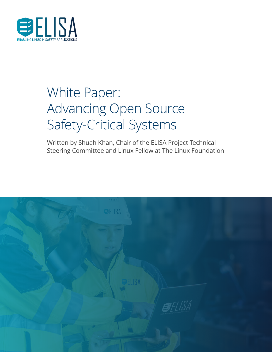

## White Paper: Advancing Open Source Safety-Critical Systems

Written by Shuah Khan, Chair of the ELISA Project Technical Steering Committee and Linux Fellow at The Linux Foundation

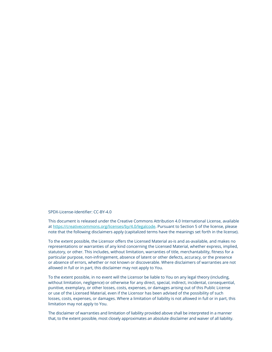SPDX-License-Identifier: CC-BY-4.0

This document is released under the Creative Commons Attribution 4.0 International License, available at [https://creativecommons.org/licenses/by/4.0/legalcode.](https://creativecommons.org/licenses/by/4.0/legalcode) Pursuant to Section 5 of the license, please note that the following disclaimers apply (capitalized terms have the meanings set forth in the license).

To the extent possible, the Licensor offers the Licensed Material as-is and as-available, and makes no representations or warranties of any kind concerning the Licensed Material, whether express, implied, statutory, or other. This includes, without limitation, warranties of title, merchantability, fitness for a particular purpose, non-infringement, absence of latent or other defects, accuracy, or the presence or absence of errors, whether or not known or discoverable. Where disclaimers of warranties are not allowed in full or in part, this disclaimer may not apply to You.

To the extent possible, in no event will the Licensor be liable to You on any legal theory (including, without limitation, negligence) or otherwise for any direct, special, indirect, incidental, consequential, punitive, exemplary, or other losses, costs, expenses, or damages arising out of this Public License or use of the Licensed Material, even if the Licensor has been advised of the possibility of such losses, costs, expenses, or damages. Where a limitation of liability is not allowed in full or in part, this limitation may not apply to You.

The disclaimer of warranties and limitation of liability provided above shall be interpreted in a manner that, to the extent possible, most closely approximates an absolute disclaimer and waiver of all liability.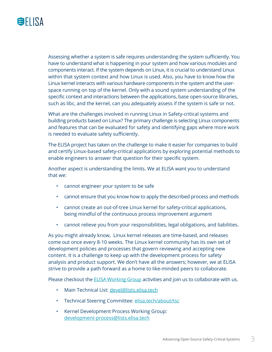

Assessing whether a system is safe requires understanding the system sufficiently. You have to understand what is happening in your system and how various modules and components interact. If the system depends on Linux, it is crucial to understand Linux within that system context and how Linux is used. Also, you have to know how the Linux kernel interacts with various hardware components in the system and the userspace running on top of the kernel. Only with a sound system understanding of the specific context and interactions between the applications, base open-source libraries, such as libc, and the kernel, can you adequately assess if the system is safe or not.

What are the challenges involved in running Linux in Safety-critical systems and building products based on Linux? The primary challenge is selecting Linux components and features that can be evaluated for safety and identifying gaps where more work is needed to evaluate safety sufficiently.

The ELISA project has taken on the challenge to make it easier for companies to build and certify Linux-based safety-critical applications by exploring potential methods to enable engineers to answer that question for their specific system.

Another aspect is understanding the limits. We at ELISA want you to understand that we:

- cannot engineer your system to be safe
- cannot ensure that you know how to apply the described process and methods
- cannot create an out-of-tree Linux kernel for safety-critical applications, being mindful of the continuous process improvement argument
- cannot relieve you from your responsibilities, legal obligations, and liabilities.

As you might already know, Linux kernel releases are time-based, and releases come out once every 8-10 weeks. The Linux kernel community has its own set of development policies and processes that govern reviewing and accepting new content. It is a challenge to keep up with the development process for safety analysis and product support. We don't have all the answers; however, we at ELISA strive to provide a path forward as a home to like-minded peers to collaborate.

Please checkout the **ELISA Working Group** activities and join us to collaborate with us.

- Main Technical List: [devel@lists.elisa.tech](mailto:devel%40lists.elisa.tech?subject=)
- Technical Steering Committee: [elisa.tech/about/tsc](http://elisa.tech/about/tsc)
- Kernel Development Process Working Group: [development-process@lists.elisa.tech](mailto:development-process%40lists.elisa.tech?subject=)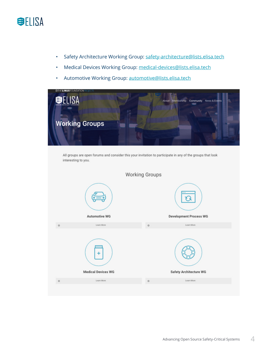

- Safety Architecture Working Group: [safety-architecture@lists.elisa.tech](mailto:safety-architecture%40lists.elisa.tech?subject=)
- Medical Devices Working Group: [medical-devices@lists.elisa.tech](mailto:medical-devices%40lists.elisa.tech?subject=)
- Automotive Working Group: [automotive@lists.elisa.tech](mailto:automotive%40lists.elisa.tech?subject=)



All groups are open forums and consider this your invitation to participate in any of the groups that look interesting to you.

|         |                                                | $$ $$ $$ $$ $$ $$ $$          |
|---------|------------------------------------------------|-------------------------------|
|         |                                                | 1.11                          |
|         | <b>Automotive WG</b>                           | <b>Development Process WG</b> |
| $\circ$ | Learn More                                     | Learn More<br>$\circ$         |
|         | <b>COLOR</b><br>4<br><b>Medical Devices WG</b> | <b>Safety Architecture WG</b> |
| $\circ$ | Learn More                                     | Learn More<br>$\circ$         |
|         |                                                |                               |

**Working Groups**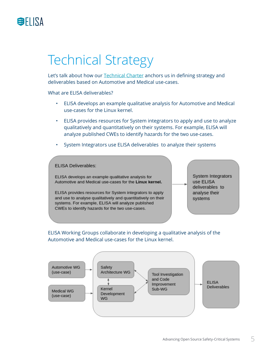

## Technical Strategy

Let's talk about how our [Technical Charter](https://elisa.tech/wp-content/uploads/sites/75/2020/08/elisa_technical_charter_082620.pdf) anchors us in defining strategy and deliverables based on Automotive and Medical use-cases.

What are ELISA deliverables?

- ELISA develops an example qualitative analysis for Automotive and Medical use-cases for the Linux kernel.
- ELISA provides resources for System integrators to apply and use to analyze qualitatively and quantitatively on their systems. For example, ELISA will analyze published CWEs to identify hazards for the two use-cases.
- System Integrators use ELISA deliverables to analyze their systems



ELISA Working Groups collaborate in developing a qualitative analysis of the Automotive and Medical use-cases for the Linux kernel.

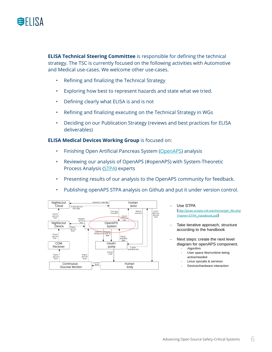

**ELISA Technical Steering Committee** is responsible for defining the technical strategy. The TSC is currently focused on the following activities with Automotive and Medical use-cases. We welcome other use-cases.

- Refining and finalizing the Technical Strategy
- Exploring how best to represent hazards and state what we tried.
- Defining clearly what ELISA is and is not
- Refining and finalizing executing on the Technical Strategy in WGs
- Deciding on our Publication Strategy (reviews and best practices for ELISA deliverables)

**ELISA Medical Devices Working Group** is focused on:

- Finishing Open Artificial Pancreas System ([OpenAPS](http://OpenAPS)) analysis
- Reviewing our analysis of OpenAPS (#openAPS) with System-Theoretic Process Analysis [\(STPA\)](http://psas.scripts.mit.edu/home/get_file.php?name=STPA_handbook.pdf) experts
- Presenting results of our analysis to the OpenAPS community for feedback.
- Publishing openAPS STPA analysis on Github and put it under version control.



Use STPA

http://psas.scripts.mit.edu/home/get\_file.php ?name=STPA\_handbook.pdf)

- Take iterative approach, structure according to the handbook
- Next steps: create the next level diagram for openAPS component. Algorithm
	- User space libs/runtime being active/needed
	- Linux syscalls & services
	- Devices/hardware interaction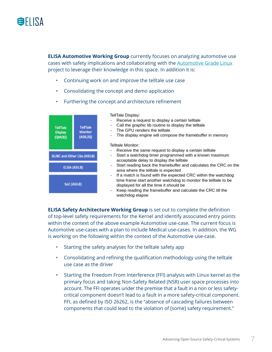

**ELISA Automotive Working Group** currently focuses on analyzing automotive use cases with safety implications and collaborating with the [Automotive Grade Linux](https://www.automotivelinux.org/) project to leverage their knowledge in this space. In addition it is:

- Continuing work on and improve the telltale use case
- Consolidating the concept and demo application
- Furthering the concept and architecture refinement



**ELISA Safety Architecture Working Group** is set out to complete the definition of top-level safety requirements for the Kernel and identify associated entry points within the context of the above example Automotive use-case. The current focus is Automotive use-cases with a plan to include Medical use-cases. In addition, the WG is working on the following within the context of the Automotive use-case.

- Starting the safety analyses for the telltale safety app
- Consolidating and refining the qualification methodology using the telltale use case as the driver
- Starting the Freedom From Interference (FFI) analysis with Linux kernel as the primary focus and taking Non-Safety Related (NSR) user space processes into account. The FFI operates under the premise that a fault in a non or less safetycritical component doesn't lead to a fault in a more safety-critical component. FFI, as defined by ISO 26262, is the "absence of cascading failures between components that could lead to the violation of [some] safety requirement."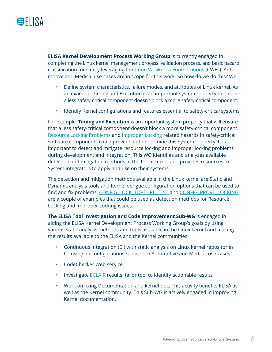

**ELISA Kernel Development Process Working Group** is currently engaged in completing the Linux kernel management process, validation process, and basic hazard classification for safety leveraging [Common Weakness Enumerations](https://cwe.mitre.org/data/definitions/699.html) (CWEs). Automotive and Medical use-cases are in scope for this work. So how do we do this? We:

- Define system characteristics, failure modes, and attributes of Linux kernel. As an example, Timing and Execution is an important system property to ensure a less safety-critical component doesn't block a more safety-critical component.
- Identify Kernel configurations and features essential to safety-critical systems

For example, **Timing and Execution** is an important system property that will ensure that a less safety-critical component doesn't block a more safety-critical component. [Resource Locking Problems](https://cwe.mitre.org/data/definitions/411.html) and [Improper Locking](https://cwe.mitre.org/data/definitions/667.html) related hazards in safety-critical software components could prevent and undermine this System property. It is important to detect and mitigate resource locking and improper locking problems during development and integration. This WG identifies and analyzes available detection and mitigation methods in the Linux kernel and provides resources to System integrators to apply and use on their systems.

The detection and mitigation methods available in the Linux kernel are Static and Dynamic analysis tools and Kernel dengue configuration options that can be used to find and fix problems. [CONFIG\\_LOCK\\_TORTURE\\_TEST](https://git.kernel.org/pub/scm/linux/kernel/git/torvalds/linux.git/tree/lib/Kconfig.debug) and [CONFIG\\_PROVE\\_LOCKING](https://git.kernel.org/pub/scm/linux/kernel/git/torvalds/linux.git/tree/lib/Kconfig.debug) are a couple of examples that could be used as detection methods for Resource Locking and Improper Locking issues.

**The ELISA Tool Investigation and Code Improvement Sub-WG** is engaged in aiding the ELISA Kernel Development Process Working Group's goals by using various static analysis methods and tools available in the Linux kernel and making the results available to the ELISA and the Kernel communities.

- Continuous Integration (CI) with static analysis on Linux kernel repositories focusing on configurations relevant to Automotive and Medical use-cases.
- CodeChecker Web service
- Investigate **ECLAIR** results, tailor tool to identify actionable results
- Work on fixing Documentation and kernel-doc. This activity benefits ELISA as well as the Kernel community. This Sub-WG is actively engaged in improving Kernel documentation.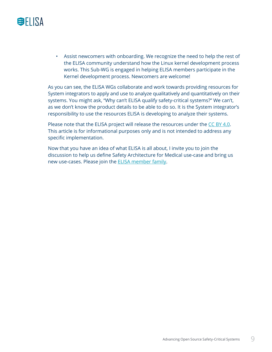

• Assist newcomers with onboarding. We recognize the need to help the rest of the ELISA community understand how the Linux kernel development process works. This Sub-WG is engaged in helping ELISA members participate in the Kernel development process. Newcomers are welcome!

As you can see, the ELISA WGs collaborate and work towards providing resources for System integrators to apply and use to analyze qualitatively and quantitatively on their systems. You might ask, "Why can't ELISA qualify safety-critical systems?" We can't, as we don't know the product details to be able to do so. It is the System integrator's responsibility to use the resources ELISA is developing to analyze their systems.

Please note that the ELISA project will release the resources under the [CC BY 4.0.](https://creativecommons.org/licenses/by/4.0/) This article is for informational purposes only and is not intended to address any specific implementation.

Now that you have an idea of what ELISA is all about, I invite you to join the discussion to help us define Safety Architecture for Medical use-case and bring us new use-cases. Please join the [ELISA member family](https://elisa.tech/membership/members/).